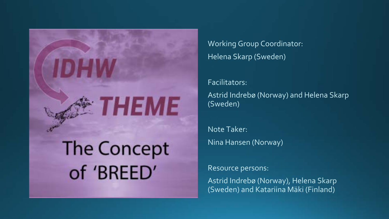

Working Group Coordinator: Helena Skarp (Sweden)

Facilitators: Astrid Indrebø (Norway) and Helena Skarp (Sweden)

Note Taker: Nina Hansen (Norway)

Resource persons:

Astrid Indrebø (Norway), Helena Skarp (Sweden) and Katariina Mäki (Finland)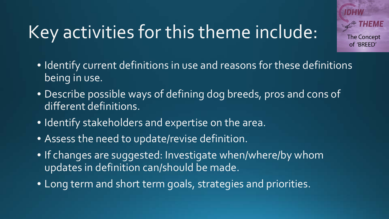### Key activities for this theme include:

- **The Concept** of 'BREED'
- Identify current definitions in use and reasons for these definitions being in use.
- Describe possible ways of defining dog breeds, pros and cons of different definitions.
- Identify stakeholders and expertise on the area.
- Assess the need to update/revise definition.
- If changes are suggested: Investigate when/where/by whom updates in definition can/should be made.
- Long term and short term goals, strategies and priorities.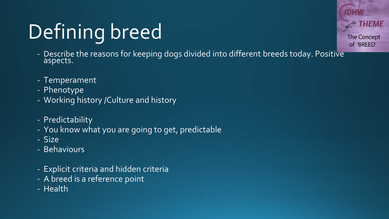## Defining breed

- Describe the reasons for keeping dogs divided into different breeds today. Positive<br>aspects.
- Temperament
- Phenotype
- Working history /Culture and history
- Predictability
- You know what you are going to get, predictable
- Size
- Behaviours
- Explicit criteria and hidden criteria
- A breed is a reference point
- Health

**The Concept** of 'BREED'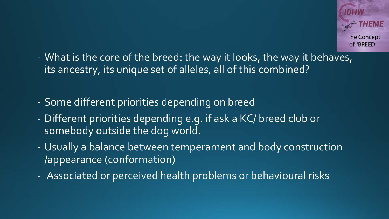- What is the core of the breed: the way it looks, the way it behaves, its ancestry, its unique set of alleles, all of this combined?
- Some different priorities depending on breed
- Different priorities depending e.g. if ask a KC/ breed club or somebody outside the dog world.
- Usually a balance between temperament and body construction /appearance (conformation)
- Associated or perceived health problems or behavioural risks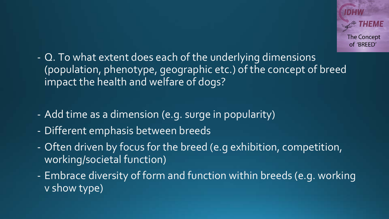- Q. To what extent does each of the underlying dimensions (population, phenotype, geographic etc.) of the concept of breed impact the health and welfare of dogs?
- Add time as a dimension (e.g. surge in popularity)
- Different emphasis between breeds
- Often driven by focus for the breed (e.g exhibition, competition, working/societal function)
- Embrace diversity of form and function within breeds (e.g. working v show type)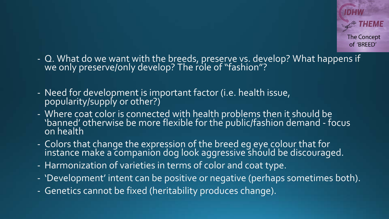- Q. What do we want with the breeds, preserve vs. develop? What happens if we only preserve/only develop? The role of "fashion"?
- Need for development is important factor (i.e. health issue, popularity/supply or other?)
- Where coat color is connected with health problems then it should be 'banned' otherwise be more flexible for the public/fashion demand - focus on health
- Colors that change the expression of the breed eg eye colour that for instance make a companion dog look aggressive should be discouraged.
- Harmonization of varieties in terms of color and coat type.
- 'Development' intent can be positive or negative (perhaps sometimes both).
- Genetics cannot be fixed (heritability produces change).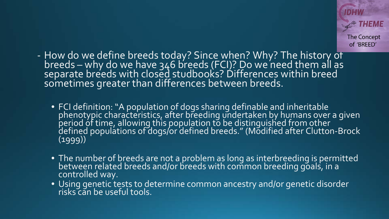- How do we define breeds today? Since when? Why? The history of breeds – why do we have 346 breeds (FCI)? Do we need them all as<br>separate breeds with closed studbooks? Differences within breed sometimes greater than differences between breeds.
	- FCI definition: "A population of dogs sharing definable and inheritable phenotypic characteristics, after breeding undertaken by humans over a given period of time, allowing this population to be distinguished from other defined populations of dogs/or defined breeds." (Modified after Clutton-Brock (1999))
	- The number of breeds are not a problem as long as interbreeding is permitted between related breeds and/or breeds with common breeding goals, in a controlled way.
	- Using genetic tests to determine common ancestry and/or genetic disorder risks can be useful tools.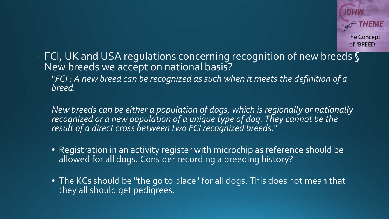- FCI, UK and USA regulations concerning recognition of new breeds § New breeds we accept on national basis? "*FCI : A new breed can be recognized as such when it meets the definition of a breed.*

*New breeds can be either a population of dogs, which is regionally or nationally recognized or a new population of a unique type of dog. They cannot be the result of a direct cross between two FCI recognized breeds.*"

- Registration in an activity register with microchip as reference should be allowed for all dogs. Consider recording a breeding history?
- The KCs should be "the go to place" for all dogs. This does not mean that they all should get pedigrees.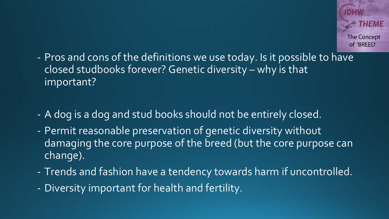- Pros and cons of the definitions we use today. Is it possible to have closed studbooks forever? Genetic diversity – why is that important?

- A dog is a dog and stud books should not be entirely closed.
- Permit reasonable preservation of genetic diversity without damaging the core purpose of the breed (but the core purpose can change).
- Trends and fashion have a tendency towards harm if uncontrolled.
- Diversity important for health and fertility.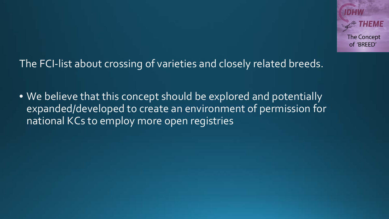The FCI-list about crossing of varieties and closely related breeds.

• We believe that this concept should be explored and potentially expanded/developed to create an environment of permission for national KCs to employ more open registries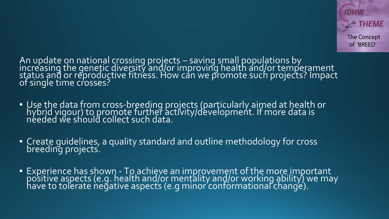An update on national crossing projects – saving small populations by<br>increasing the genetic diversity and/or improving health and/or temperament status and or reproductive fitness. How can we promote such projects? Impact of single time crosses?

- Use the data from cross-breeding projects (particularly aimed at health or hybrid vigour) to promote further activity/development. If more data is needed we should collect such data.
- Create guidelines, a quality standard and outline methodology for cross breeding projects.
- Experience has shown To achieve an improvement of the more important positive aspects (e.g. health and/or mentality and/or working ability) we may have to tolerate negative aspects (e.g minor conformational change).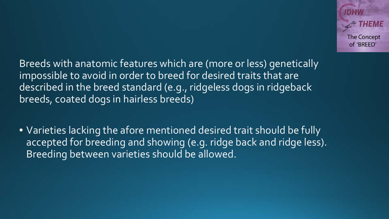Breeds with anatomic features which are (more or less) genetically impossible to avoid in order to breed for desired traits that are described in the breed standard (e.g., ridgeless dogs in ridgeback breeds, coated dogs in hairless breeds)

• Varieties lacking the afore mentioned desired trait should be fully accepted for breeding and showing (e.g. ridge back and ridge less). Breeding between varieties should be allowed.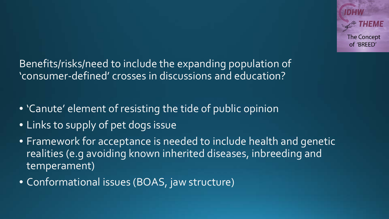Benefits/risks/need to include the expanding population of 'consumer-defined' crosses in discussions and education?

- 'Canute' element of resisting the tide of public opinion
- Links to supply of pet dogs issue
- Framework for acceptance is needed to include health and genetic realities (e.g avoiding known inherited diseases, inbreeding and temperament)
- Conformational issues (BOAS, jaw structure)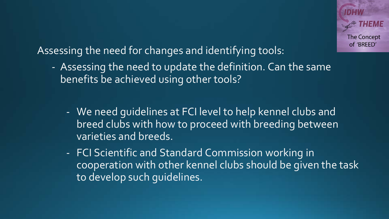Assessing the need for changes and identifying tools:

- Assessing the need to update the definition. Can the same benefits be achieved using other tools?
	- We need guidelines at FCI level to help kennel clubs and breed clubs with how to proceed with breeding between varieties and breeds.
	- FCI Scientific and Standard Commission working in cooperation with other kennel clubs should be given the task to develop such guidelines.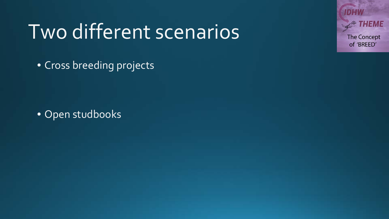## Two different scenarios

• Cross breeding projects

• Open studbooks

d:IsMa The Concept of 'BREED'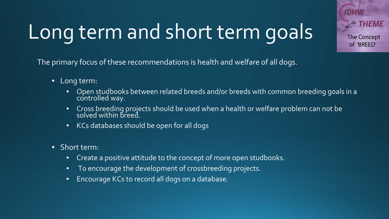# Long term and short term goals

**The Concept** of 'BREED'

The primary focus of these recommendations is health and welfare of all dogs.

- Long term:
	- Open studbooks between related breeds and/or breeds with common breeding goals in a controlled way.
	- Cross breeding projects should be used when a health or welfare problem can not be solved within breed.
	- KCs databases should be open for all dogs
- Short term:
	- Create a positive attitude to the concept of more open studbooks.
	- To encourage the development of crossbreeding projects.
	- Encourage KCs to record all dogs on a database.